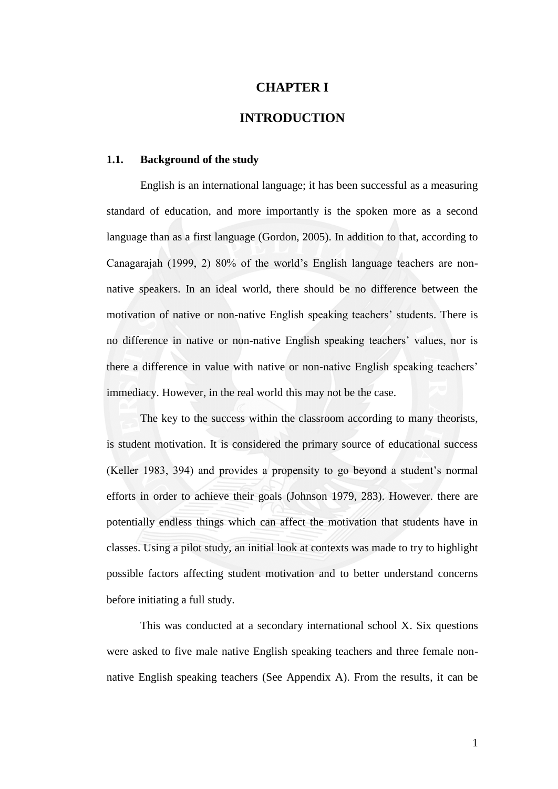# **CHAPTER I**

# **INTRODUCTION**

#### **1.1. Background of the study**

English is an international language; it has been successful as a measuring standard of education, and more importantly is the spoken more as a second language than as a first language (Gordon, 2005). In addition to that, according to Canagarajah (1999, 2) 80% of the world's English language teachers are nonnative speakers. In an ideal world, there should be no difference between the motivation of native or non-native English speaking teachers' students. There is no difference in native or non-native English speaking teachers' values, nor is there a difference in value with native or non-native English speaking teachers' immediacy. However, in the real world this may not be the case.

The key to the success within the classroom according to many theorists, is student motivation. It is considered the primary source of educational success (Keller 1983, 394) and provides a propensity to go beyond a student's normal efforts in order to achieve their goals (Johnson 1979, 283). However. there are potentially endless things which can affect the motivation that students have in classes. Using a pilot study, an initial look at contexts was made to try to highlight possible factors affecting student motivation and to better understand concerns before initiating a full study.

This was conducted at a secondary international school X. Six questions were asked to five male native English speaking teachers and three female nonnative English speaking teachers (See Appendix A). From the results, it can be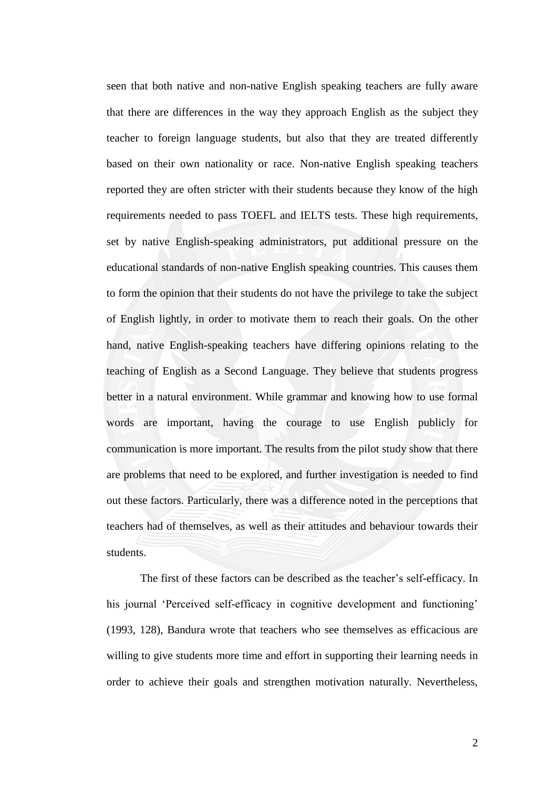seen that both native and non-native English speaking teachers are fully aware that there are differences in the way they approach English as the subject they teacher to foreign language students, but also that they are treated differently based on their own nationality or race. Non-native English speaking teachers reported they are often stricter with their students because they know of the high requirements needed to pass TOEFL and IELTS tests. These high requirements, set by native English-speaking administrators, put additional pressure on the educational standards of non-native English speaking countries. This causes them to form the opinion that their students do not have the privilege to take the subject of English lightly, in order to motivate them to reach their goals. On the other hand, native English-speaking teachers have differing opinions relating to the teaching of English as a Second Language. They believe that students progress better in a natural environment. While grammar and knowing how to use formal words are important, having the courage to use English publicly for communication is more important. The results from the pilot study show that there are problems that need to be explored, and further investigation is needed to find out these factors. Particularly, there was a difference noted in the perceptions that teachers had of themselves, as well as their attitudes and behaviour towards their students.

The first of these factors can be described as the teacher's self-efficacy. In his journal 'Perceived self-efficacy in cognitive development and functioning' (1993, 128), Bandura wrote that teachers who see themselves as efficacious are willing to give students more time and effort in supporting their learning needs in order to achieve their goals and strengthen motivation naturally. Nevertheless,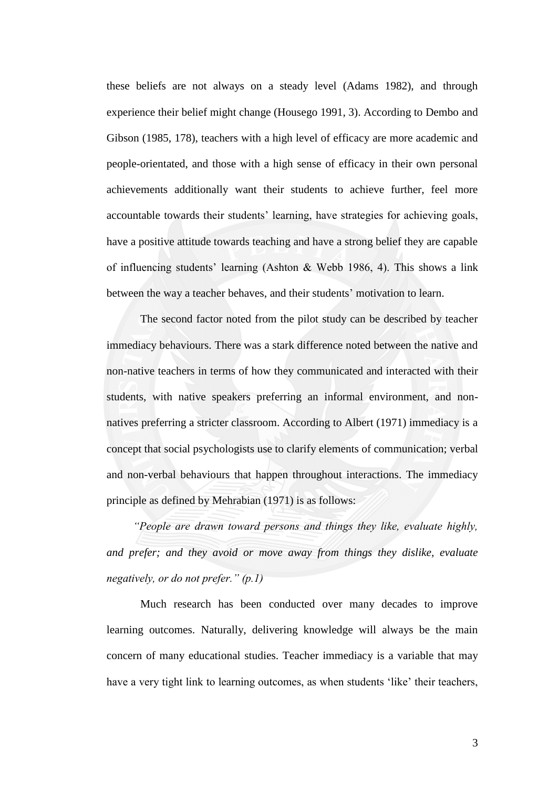these beliefs are not always on a steady level (Adams 1982), and through experience their belief might change (Housego 1991, 3). According to Dembo and Gibson (1985, 178), teachers with a high level of efficacy are more academic and people-orientated, and those with a high sense of efficacy in their own personal achievements additionally want their students to achieve further, feel more accountable towards their students' learning, have strategies for achieving goals, have a positive attitude towards teaching and have a strong belief they are capable of influencing students' learning (Ashton & Webb 1986, 4). This shows a link between the way a teacher behaves, and their students' motivation to learn.

The second factor noted from the pilot study can be described by teacher immediacy behaviours. There was a stark difference noted between the native and non-native teachers in terms of how they communicated and interacted with their students, with native speakers preferring an informal environment, and nonnatives preferring a stricter classroom. According to Albert (1971) immediacy is a concept that social psychologists use to clarify elements of communication; verbal and non-verbal behaviours that happen throughout interactions. The immediacy principle as defined by Mehrabian (1971) is as follows:

*―People are drawn toward persons and things they like, evaluate highly, and prefer; and they avoid or move away from things they dislike, evaluate negatively, or do not prefer.*" (*p.1*)

Much research has been conducted over many decades to improve learning outcomes. Naturally, delivering knowledge will always be the main concern of many educational studies. Teacher immediacy is a variable that may have a very tight link to learning outcomes, as when students 'like' their teachers,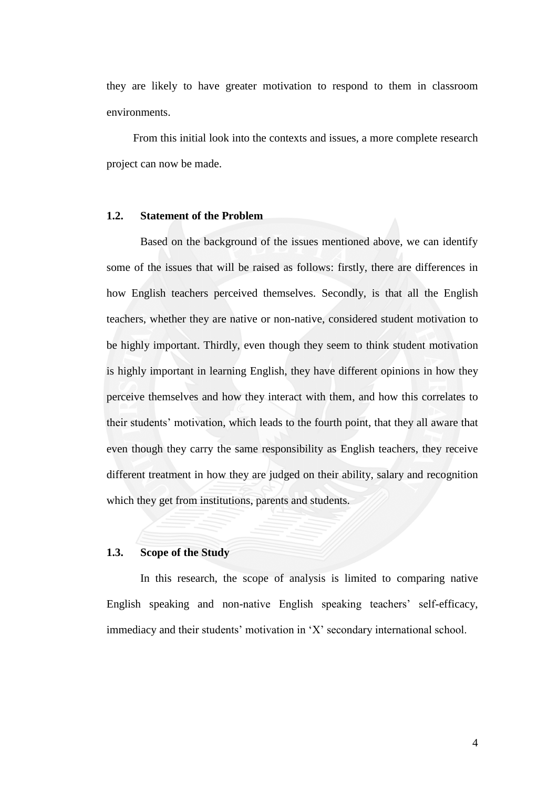they are likely to have greater motivation to respond to them in classroom environments.

From this initial look into the contexts and issues, a more complete research project can now be made.

### **1.2. Statement of the Problem**

Based on the background of the issues mentioned above, we can identify some of the issues that will be raised as follows: firstly, there are differences in how English teachers perceived themselves. Secondly, is that all the English teachers, whether they are native or non-native, considered student motivation to be highly important. Thirdly, even though they seem to think student motivation is highly important in learning English, they have different opinions in how they perceive themselves and how they interact with them, and how this correlates to their students' motivation, which leads to the fourth point, that they all aware that even though they carry the same responsibility as English teachers, they receive different treatment in how they are judged on their ability, salary and recognition which they get from institutions, parents and students.

# **1.3. Scope of the Study**

In this research, the scope of analysis is limited to comparing native English speaking and non-native English speaking teachers' self-efficacy, immediacy and their students' motivation in 'X' secondary international school.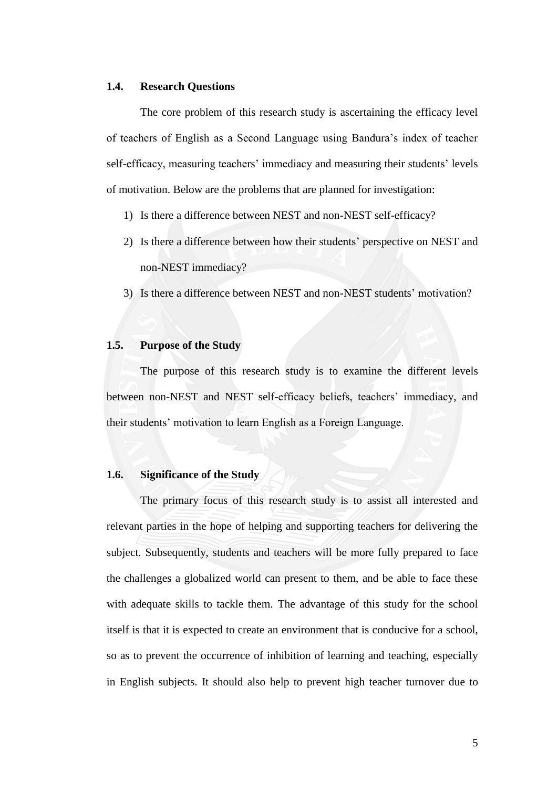### **1.4. Research Questions**

The core problem of this research study is ascertaining the efficacy level of teachers of English as a Second Language using Bandura's index of teacher self-efficacy, measuring teachers' immediacy and measuring their students' levels of motivation. Below are the problems that are planned for investigation:

- 1) Is there a difference between NEST and non-NEST self-efficacy?
- 2) Is there a difference between how their students' perspective on NEST and non-NEST immediacy?
- 3) Is there a difference between NEST and non-NEST students' motivation?

### **1.5. Purpose of the Study**

The purpose of this research study is to examine the different levels between non-NEST and NEST self-efficacy beliefs, teachers' immediacy, and their students' motivation to learn English as a Foreign Language.

### **1.6. Significance of the Study**

The primary focus of this research study is to assist all interested and relevant parties in the hope of helping and supporting teachers for delivering the subject. Subsequently, students and teachers will be more fully prepared to face the challenges a globalized world can present to them, and be able to face these with adequate skills to tackle them. The advantage of this study for the school itself is that it is expected to create an environment that is conducive for a school, so as to prevent the occurrence of inhibition of learning and teaching, especially in English subjects. It should also help to prevent high teacher turnover due to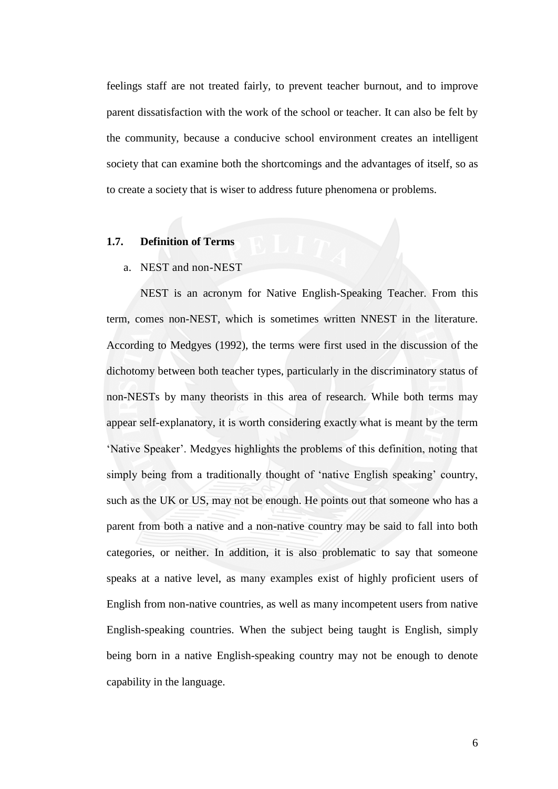feelings staff are not treated fairly, to prevent teacher burnout, and to improve parent dissatisfaction with the work of the school or teacher. It can also be felt by the community, because a conducive school environment creates an intelligent society that can examine both the shortcomings and the advantages of itself, so as to create a society that is wiser to address future phenomena or problems.

# **1.7. Definition of Terms**

#### a. NEST and non-NEST

NEST is an acronym for Native English-Speaking Teacher. From this term, comes non-NEST, which is sometimes written NNEST in the literature. According to Medgyes (1992), the terms were first used in the discussion of the dichotomy between both teacher types, particularly in the discriminatory status of non-NESTs by many theorists in this area of research. While both terms may appear self-explanatory, it is worth considering exactly what is meant by the term ‗Native Speaker'. Medgyes highlights the problems of this definition, noting that simply being from a traditionally thought of 'native English speaking' country, such as the UK or US, may not be enough. He points out that someone who has a parent from both a native and a non-native country may be said to fall into both categories, or neither. In addition, it is also problematic to say that someone speaks at a native level, as many examples exist of highly proficient users of English from non-native countries, as well as many incompetent users from native English-speaking countries. When the subject being taught is English, simply being born in a native English-speaking country may not be enough to denote capability in the language.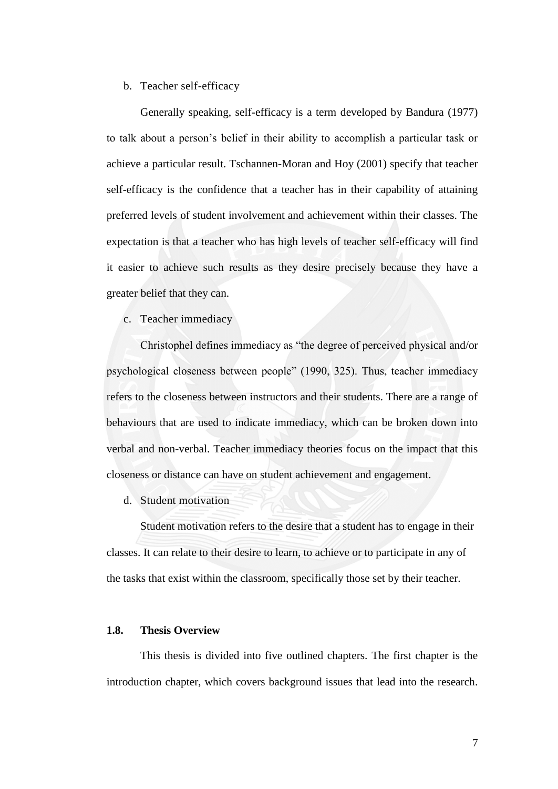# b. Teacher self-efficacy

Generally speaking, self-efficacy is a term developed by Bandura (1977) to talk about a person's belief in their ability to accomplish a particular task or achieve a particular result. Tschannen-Moran and Hoy (2001) specify that teacher self-efficacy is the confidence that a teacher has in their capability of attaining preferred levels of student involvement and achievement within their classes. The expectation is that a teacher who has high levels of teacher self-efficacy will find it easier to achieve such results as they desire precisely because they have a greater belief that they can.

c. Teacher immediacy

Christophel defines immediacy as "the degree of perceived physical and/or psychological closeness between people" (1990, 325). Thus, teacher immediacy refers to the closeness between instructors and their students. There are a range of behaviours that are used to indicate immediacy, which can be broken down into verbal and non-verbal. Teacher immediacy theories focus on the impact that this closeness or distance can have on student achievement and engagement.

d. Student motivation

Student motivation refers to the desire that a student has to engage in their classes. It can relate to their desire to learn, to achieve or to participate in any of the tasks that exist within the classroom, specifically those set by their teacher.

#### **1.8. Thesis Overview**

This thesis is divided into five outlined chapters. The first chapter is the introduction chapter, which covers background issues that lead into the research.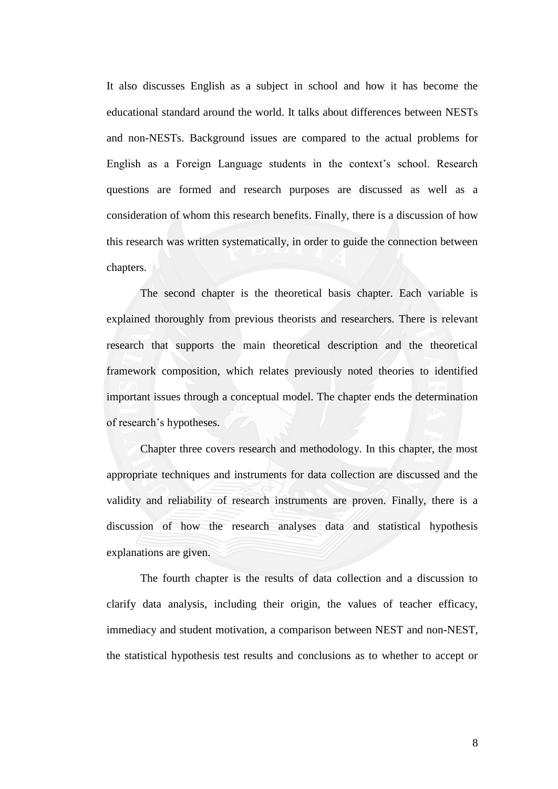It also discusses English as a subject in school and how it has become the educational standard around the world. It talks about differences between NESTs and non-NESTs. Background issues are compared to the actual problems for English as a Foreign Language students in the context's school. Research questions are formed and research purposes are discussed as well as a consideration of whom this research benefits. Finally, there is a discussion of how this research was written systematically, in order to guide the connection between chapters.

The second chapter is the theoretical basis chapter. Each variable is explained thoroughly from previous theorists and researchers. There is relevant research that supports the main theoretical description and the theoretical framework composition, which relates previously noted theories to identified important issues through a conceptual model. The chapter ends the determination of research's hypotheses.

Chapter three covers research and methodology. In this chapter, the most appropriate techniques and instruments for data collection are discussed and the validity and reliability of research instruments are proven. Finally, there is a discussion of how the research analyses data and statistical hypothesis explanations are given.

The fourth chapter is the results of data collection and a discussion to clarify data analysis, including their origin, the values of teacher efficacy, immediacy and student motivation, a comparison between NEST and non-NEST, the statistical hypothesis test results and conclusions as to whether to accept or